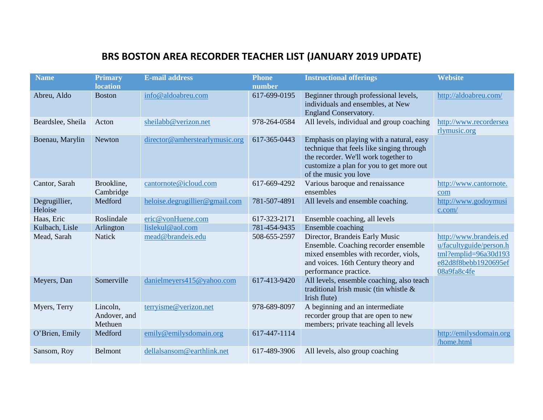## **BRS BOSTON AREA RECORDER TEACHER LIST (JANUARY 2019 UPDATE)**

| <b>Name</b>              | <b>Primary</b>                      | <b>E-mail address</b>          | <b>Phone</b> | <b>Instructional offerings</b>                                                                                                                                                                     | <b>Website</b>                                                                                                   |
|--------------------------|-------------------------------------|--------------------------------|--------------|----------------------------------------------------------------------------------------------------------------------------------------------------------------------------------------------------|------------------------------------------------------------------------------------------------------------------|
|                          | <b>location</b>                     |                                | number       |                                                                                                                                                                                                    |                                                                                                                  |
| Abreu, Aldo              | <b>Boston</b>                       | info@aldoabreu.com             | 617-699-0195 | Beginner through professional levels,<br>individuals and ensembles, at New<br><b>England Conservatory.</b>                                                                                         | http://aldoabreu.com/                                                                                            |
| Beardslee, Sheila        | Acton                               | sheilabb@verizon.net           | 978-264-0584 | All levels, individual and group coaching                                                                                                                                                          | http://www.recordersea<br>rlymusic.org                                                                           |
| Boenau, Marylin          | Newton                              | director@amherstearlymusic.org | 617-365-0443 | Emphasis on playing with a natural, easy<br>technique that feels like singing through<br>the recorder. We'll work together to<br>customize a plan for you to get more out<br>of the music you love |                                                                                                                  |
| Cantor, Sarah            | Brookline,<br>Cambridge             | cantornote@icloud.com          | 617-669-4292 | Various baroque and renaissance<br>ensembles                                                                                                                                                       | http://www.cantornote.<br>com                                                                                    |
| Degrugillier,<br>Heloise | Medford                             | heloise.degrugillier@gmail.com | 781-507-4891 | All levels and ensemble coaching.                                                                                                                                                                  | http://www.godoymusi<br>c.com/                                                                                   |
| Haas, Eric               | Roslindale                          | eric@vonHuene.com              | 617-323-2171 | Ensemble coaching, all levels                                                                                                                                                                      |                                                                                                                  |
| Kulbach, Lisle           | Arlington                           | lislekul@aol.com               | 781-454-9435 | Ensemble coaching                                                                                                                                                                                  |                                                                                                                  |
| Mead, Sarah              | Natick                              | mead@brandeis.edu              | 508-655-2597 | Director, Brandeis Early Music<br>Ensemble. Coaching recorder ensemble<br>mixed ensembles with recorder, viols,<br>and voices. 16th Century theory and<br>performance practice.                    | http://www.brandeis.ed<br>u/facultyguide/person.h<br>tml?emplid=96a30d193<br>e82d8f8bebb1920695ef<br>08a9fa8c4fe |
| Meyers, Dan              | Somerville                          | danielmeyers415@yahoo.com      | 617-413-9420 | All levels, ensemble coaching, also teach<br>traditional Irish music (tin whistle &<br>Irish flute)                                                                                                |                                                                                                                  |
| Myers, Terry             | Lincoln,<br>Andover, and<br>Methuen | terryisme@verizon.net          | 978-689-8097 | A beginning and an intermediate<br>recorder group that are open to new<br>members; private teaching all levels                                                                                     |                                                                                                                  |
| O'Brien, Emily           | Medford                             | emily@emilysdomain.org         | 617-447-1114 |                                                                                                                                                                                                    | http://emilysdomain.org<br>/home.html                                                                            |
| Sansom, Roy              | Belmont                             | dellalsansom@earthlink.net     | 617-489-3906 | All levels, also group coaching                                                                                                                                                                    |                                                                                                                  |